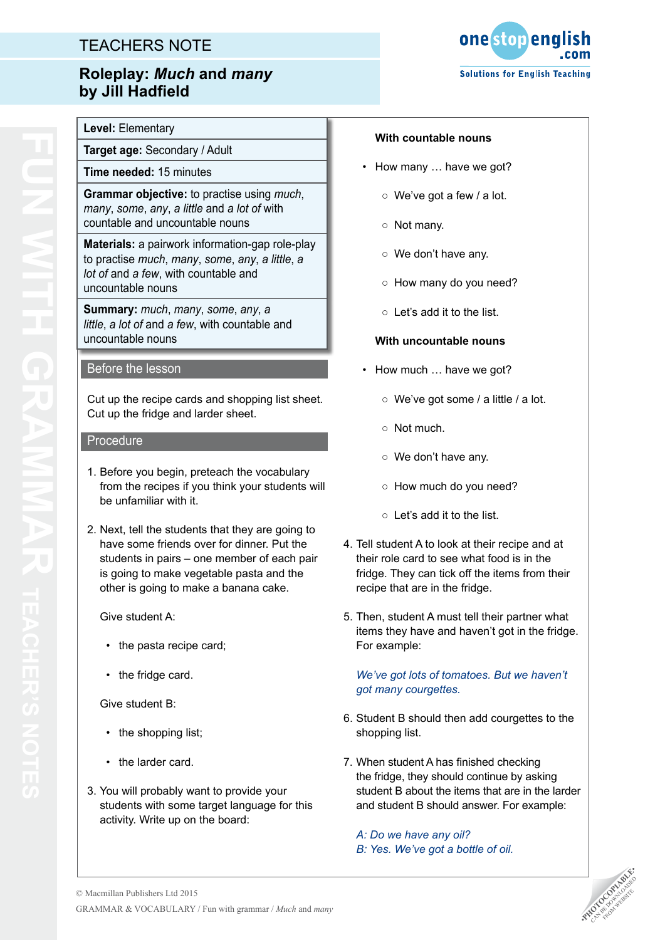# TEACHERS NOTE

## **Roleplay:** *Much* **and** *many* **by Jill Hadfield**

**Level:** Elementary

**Target age:** Secondary / Adult

**Time needed:** 15 minutes

**Grammar objective:** to practise using *much*, *many*, *some*, *any*, *a little* and *a lot of* with countable and uncountable nouns

**Materials:** a pairwork information-gap role-play to practise *much*, *many*, *some*, *any*, *a little*, *a lot of* and *a few*, with countable and uncountable nouns

**Summary:** *much*, *many*, *some*, *any*, *a little*, *a lot of* and *a few*, with countable and uncountable nouns

## Before the lesson

Cut up the recipe cards and shopping list sheet. Cut up the fridge and larder sheet.

#### Procedure

- 1. Before you begin, preteach the vocabulary from the recipes if you think your students will be unfamiliar with it.
- 2. Next, tell the students that they are going to have some friends over for dinner. Put the students in pairs – one member of each pair is going to make vegetable pasta and the other is going to make a banana cake.

Give student A:

- the pasta recipe card:
- the fridge card.

Give student B:

- the shopping list:
- the larder card.
- 3. You will probably want to provide your students with some target language for this activity. Write up on the board:



#### **With countable nouns**

- How many … have we got?
	- We've got a few / a lot.
	- Not many.
	- We don't have any.
	- How many do you need?
	- Let's add it to the list.

## **With uncountable nouns**

- How much ... have we got?
	- We've got some / a little / a lot.
	- Not much.
	- We don't have any.
	- How much do you need?
	- Let's add it to the list.
- 4. Tell student A to look at their recipe and at their role card to see what food is in the fridge. They can tick off the items from their recipe that are in the fridge.
- 5. Then, student A must tell their partner what items they have and haven't got in the fridge. For example:

*We've got lots of tomatoes. But we haven't got many courgettes.*

- 6. Student B should then add courgettes to the shopping list.
- 7. When student A has finished checking the fridge, they should continue by asking student B about the items that are in the larder and student B should answer. For example:

*A: Do we have any oil? B: Yes. We've got a bottle of oil.*